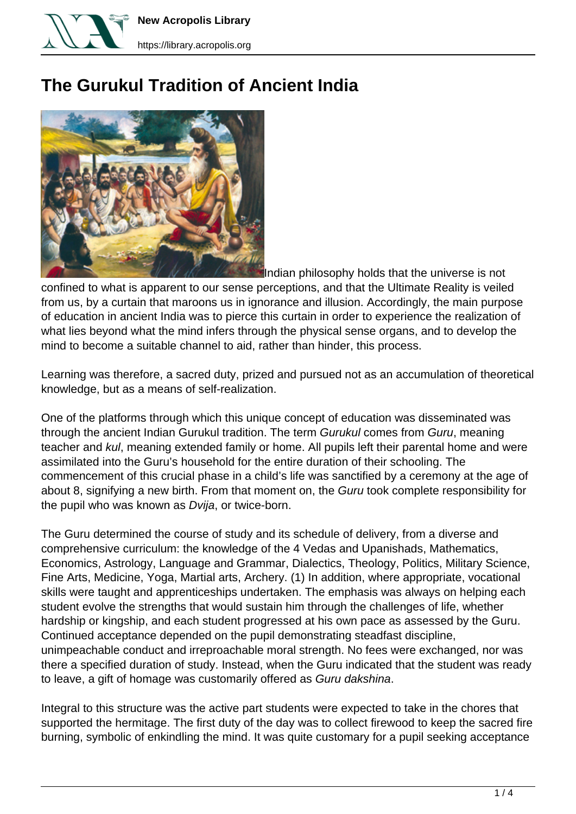

**New Acropolis Library**

## **The Gurukul Tradition of Ancient India**



Indian philosophy holds that the universe is not confined to what is apparent to our sense perceptions, and that the Ultimate Reality is veiled from us, by a curtain that maroons us in ignorance and illusion. Accordingly, the main purpose of education in ancient India was to pierce this curtain in order to experience the realization of what lies beyond what the mind infers through the physical sense organs, and to develop the mind to become a suitable channel to aid, rather than hinder, this process.

Learning was therefore, a sacred duty, prized and pursued not as an accumulation of theoretical knowledge, but as a means of self-realization.

One of the platforms through which this unique concept of education was disseminated was through the ancient Indian Gurukul tradition. The term Gurukul comes from Guru, meaning teacher and kul, meaning extended family or home. All pupils left their parental home and were assimilated into the Guru's household for the entire duration of their schooling. The commencement of this crucial phase in a child's life was sanctified by a ceremony at the age of about 8, signifying a new birth. From that moment on, the Guru took complete responsibility for the pupil who was known as Dvija, or twice-born.

The Guru determined the course of study and its schedule of delivery, from a diverse and comprehensive curriculum: the knowledge of the 4 Vedas and Upanishads, Mathematics, Economics, Astrology, Language and Grammar, Dialectics, Theology, Politics, Military Science, Fine Arts, Medicine, Yoga, Martial arts, Archery. (1) In addition, where appropriate, vocational skills were taught and apprenticeships undertaken. The emphasis was always on helping each student evolve the strengths that would sustain him through the challenges of life, whether hardship or kingship, and each student progressed at his own pace as assessed by the Guru. Continued acceptance depended on the pupil demonstrating steadfast discipline, unimpeachable conduct and irreproachable moral strength. No fees were exchanged, nor was there a specified duration of study. Instead, when the Guru indicated that the student was ready to leave, a gift of homage was customarily offered as Guru dakshina.

Integral to this structure was the active part students were expected to take in the chores that supported the hermitage. The first duty of the day was to collect firewood to keep the sacred fire burning, symbolic of enkindling the mind. It was quite customary for a pupil seeking acceptance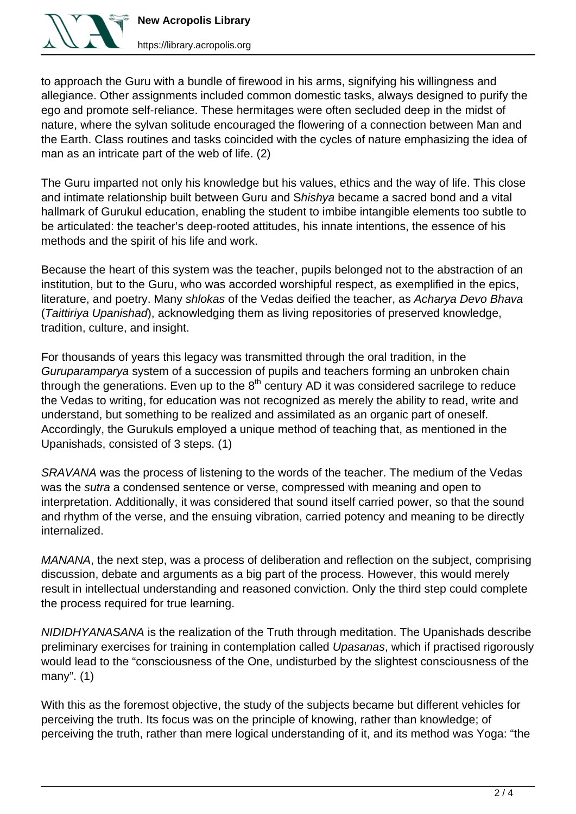

to approach the Guru with a bundle of firewood in his arms, signifying his willingness and allegiance. Other assignments included common domestic tasks, always designed to purify the ego and promote self-reliance. These hermitages were often secluded deep in the midst of nature, where the sylvan solitude encouraged the flowering of a connection between Man and the Earth. Class routines and tasks coincided with the cycles of nature emphasizing the idea of man as an intricate part of the web of life. (2)

The Guru imparted not only his knowledge but his values, ethics and the way of life. This close and intimate relationship built between Guru and Shishya became a sacred bond and a vital hallmark of Gurukul education, enabling the student to imbibe intangible elements too subtle to be articulated: the teacher's deep-rooted attitudes, his innate intentions, the essence of his methods and the spirit of his life and work.

Because the heart of this system was the teacher, pupils belonged not to the abstraction of an institution, but to the Guru, who was accorded worshipful respect, as exemplified in the epics, literature, and poetry. Many shlokas of the Vedas deified the teacher, as Acharya Devo Bhava (Taittiriya Upanishad), acknowledging them as living repositories of preserved knowledge, tradition, culture, and insight.

For thousands of years this legacy was transmitted through the oral tradition, in the Guruparamparya system of a succession of pupils and teachers forming an unbroken chain through the generations. Even up to the  $8<sup>th</sup>$  century AD it was considered sacrilege to reduce the Vedas to writing, for education was not recognized as merely the ability to read, write and understand, but something to be realized and assimilated as an organic part of oneself. Accordingly, the Gurukuls employed a unique method of teaching that, as mentioned in the Upanishads, consisted of 3 steps. (1)

SRAVANA was the process of listening to the words of the teacher. The medium of the Vedas was the sutra a condensed sentence or verse, compressed with meaning and open to interpretation. Additionally, it was considered that sound itself carried power, so that the sound and rhythm of the verse, and the ensuing vibration, carried potency and meaning to be directly internalized.

MANANA, the next step, was a process of deliberation and reflection on the subject, comprising discussion, debate and arguments as a big part of the process. However, this would merely result in intellectual understanding and reasoned conviction. Only the third step could complete the process required for true learning.

NIDIDHYANASANA is the realization of the Truth through meditation. The Upanishads describe preliminary exercises for training in contemplation called Upasanas, which if practised rigorously would lead to the "consciousness of the One, undisturbed by the slightest consciousness of the many". (1)

With this as the foremost objective, the study of the subjects became but different vehicles for perceiving the truth. Its focus was on the principle of knowing, rather than knowledge; of perceiving the truth, rather than mere logical understanding of it, and its method was Yoga: "the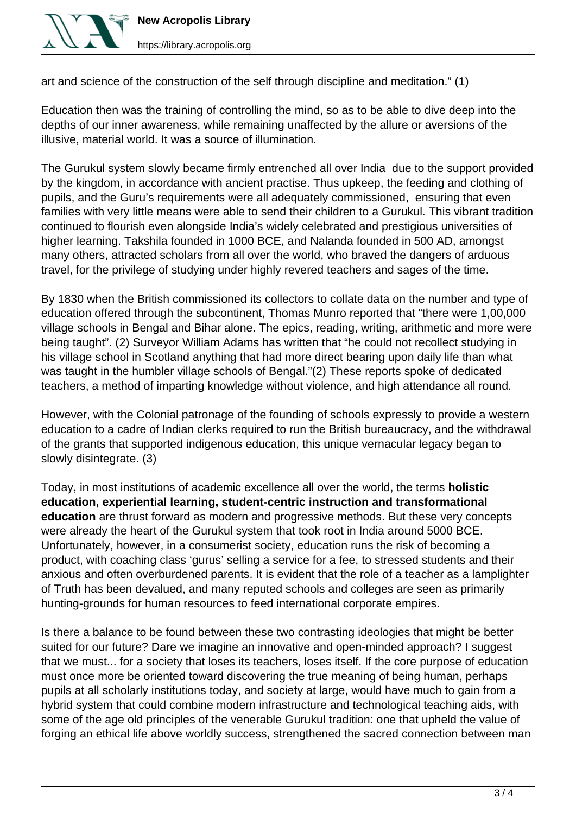

art and science of the construction of the self through discipline and meditation." (1)

Education then was the training of controlling the mind, so as to be able to dive deep into the depths of our inner awareness, while remaining unaffected by the allure or aversions of the illusive, material world. It was a source of illumination.

The Gurukul system slowly became firmly entrenched all over India due to the support provided by the kingdom, in accordance with ancient practise. Thus upkeep, the feeding and clothing of pupils, and the Guru's requirements were all adequately commissioned, ensuring that even families with very little means were able to send their children to a Gurukul. This vibrant tradition continued to flourish even alongside India's widely celebrated and prestigious universities of higher learning. Takshila founded in 1000 BCE, and Nalanda founded in 500 AD, amongst many others, attracted scholars from all over the world, who braved the dangers of arduous travel, for the privilege of studying under highly revered teachers and sages of the time.

By 1830 when the British commissioned its collectors to collate data on the number and type of education offered through the subcontinent, Thomas Munro reported that "there were 1,00,000 village schools in Bengal and Bihar alone. The epics, reading, writing, arithmetic and more were being taught". (2) Surveyor William Adams has written that "he could not recollect studying in his village school in Scotland anything that had more direct bearing upon daily life than what was taught in the humbler village schools of Bengal."(2) These reports spoke of dedicated teachers, a method of imparting knowledge without violence, and high attendance all round.

However, with the Colonial patronage of the founding of schools expressly to provide a western education to a cadre of Indian clerks required to run the British bureaucracy, and the withdrawal of the grants that supported indigenous education, this unique vernacular legacy began to slowly disintegrate. (3)

Today, in most institutions of academic excellence all over the world, the terms **holistic education, experiential learning, student-centric instruction and transformational education** are thrust forward as modern and progressive methods. But these very concepts were already the heart of the Gurukul system that took root in India around 5000 BCE. Unfortunately, however, in a consumerist society, education runs the risk of becoming a product, with coaching class 'gurus' selling a service for a fee, to stressed students and their anxious and often overburdened parents. It is evident that the role of a teacher as a lamplighter of Truth has been devalued, and many reputed schools and colleges are seen as primarily hunting-grounds for human resources to feed international corporate empires.

Is there a balance to be found between these two contrasting ideologies that might be better suited for our future? Dare we imagine an innovative and open-minded approach? I suggest that we must... for a society that loses its teachers, loses itself. If the core purpose of education must once more be oriented toward discovering the true meaning of being human, perhaps pupils at all scholarly institutions today, and society at large, would have much to gain from a hybrid system that could combine modern infrastructure and technological teaching aids, with some of the age old principles of the venerable Gurukul tradition: one that upheld the value of forging an ethical life above worldly success, strengthened the sacred connection between man